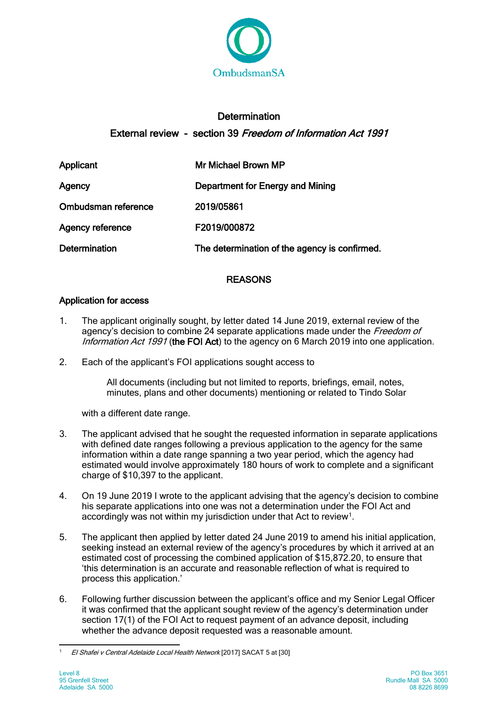

# **Determination** External review - section 39 Freedom of Information Act 1991

| Applicant               | Mr Michael Brown MP                           |
|-------------------------|-----------------------------------------------|
| Agency                  | Department for Energy and Mining              |
| Ombudsman reference     | 2019/05861                                    |
| <b>Agency reference</b> | F2019/000872                                  |
| <b>Determination</b>    | The determination of the agency is confirmed. |

## REASONS

## Application for access

- 1. The applicant originally sought, by letter dated 14 June 2019, external review of the agency's decision to combine 24 separate applications made under the *Freedom of* Information Act 1991 (the FOI Act) to the agency on 6 March 2019 into one application.
- 2. Each of the applicant's FOI applications sought access to

All documents (including but not limited to reports, briefings, email, notes, minutes, plans and other documents) mentioning or related to Tindo Solar

with a different date range.

- 3. The applicant advised that he sought the requested information in separate applications with defined date ranges following a previous application to the agency for the same information within a date range spanning a two year period, which the agency had estimated would involve approximately 180 hours of work to complete and a significant charge of \$10,397 to the applicant.
- 4. On 19 June 2019 I wrote to the applicant advising that the agency's decision to combine his separate applications into one was not a determination under the FOI Act and accordingly was not within my jurisdiction under that Act to review<sup>1</sup>.
- 5. The applicant then applied by letter dated 24 June 2019 to amend his initial application, seeking instead an external review of the agency's procedures by which it arrived at an estimated cost of processing the combined application of \$15,872.20, to ensure that 'this determination is an accurate and reasonable reflection of what is required to process this application.'
- 6. Following further discussion between the applicant's office and my Senior Legal Officer it was confirmed that the applicant sought review of the agency's determination under section 17(1) of the FOI Act to request payment of an advance deposit, including whether the advance deposit requested was a reasonable amount.

<span id="page-0-0"></span><sup>1</sup> El Shafei v Central Adelaide Local Health Network [2017] SACAT 5 at [30]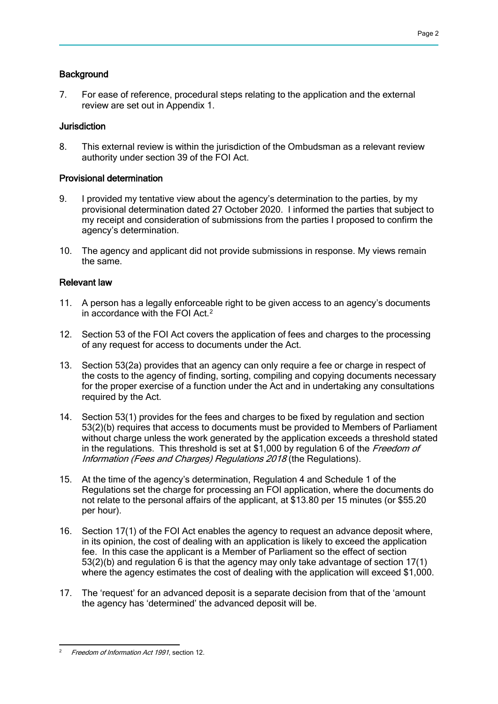#### **Background**

7. For ease of reference, procedural steps relating to the application and the external review are set out in Appendix 1.

#### Jurisdiction

8. This external review is within the jurisdiction of the Ombudsman as a relevant review authority under section 39 of the FOI Act.

#### Provisional determination

- 9. I provided my tentative view about the agency's determination to the parties, by my provisional determination dated 27 October 2020. I informed the parties that subject to my receipt and consideration of submissions from the parties I proposed to confirm the agency's determination.
- 10. The agency and applicant did not provide submissions in response. My views remain the same.

#### Relevant law

- 11. A person has a legally enforceable right to be given access to an agency's documents in accordance with the FOI Act.<sup>[2](#page-1-0)</sup>
- 12. Section 53 of the FOI Act covers the application of fees and charges to the processing of any request for access to documents under the Act.
- 13. Section 53(2a) provides that an agency can only require a fee or charge in respect of the costs to the agency of finding, sorting, compiling and copying documents necessary for the proper exercise of a function under the Act and in undertaking any consultations required by the Act.
- 14. Section 53(1) provides for the fees and charges to be fixed by regulation and section 53(2)(b) requires that access to documents must be provided to Members of Parliament without charge unless the work generated by the application exceeds a threshold stated in the regulations. This threshold is set at  $$1,000$  by regulation 6 of the Freedom of Information (Fees and Charges) Regulations 2018 (the Regulations).
- 15. At the time of the agency's determination, Regulation 4 and Schedule 1 of the Regulations set the charge for processing an FOI application, where the documents do not relate to the personal affairs of the applicant, at \$13.80 per 15 minutes (or \$55.20 per hour).
- 16. Section 17(1) of the FOI Act enables the agency to request an advance deposit where, in its opinion, the cost of dealing with an application is likely to exceed the application fee. In this case the applicant is a Member of Parliament so the effect of section 53(2)(b) and regulation 6 is that the agency may only take advantage of section 17(1) where the agency estimates the cost of dealing with the application will exceed \$1,000.
- 17. The 'request' for an advanced deposit is a separate decision from that of the 'amount the agency has 'determined' the advanced deposit will be.

<span id="page-1-0"></span>Freedom of Information Act 1991, section 12.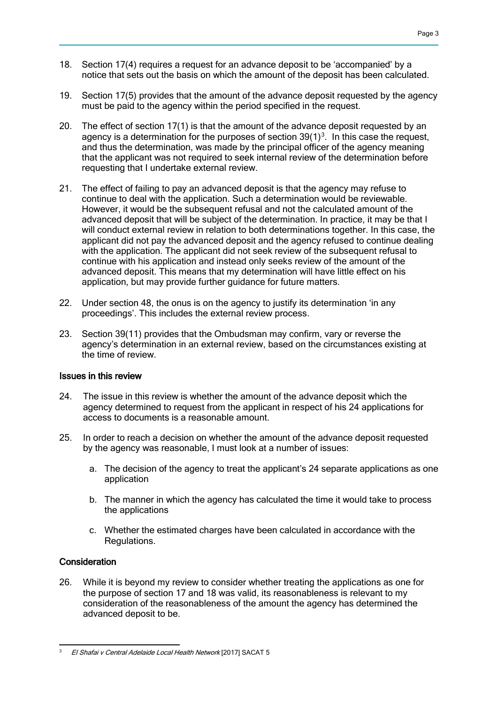- 18. Section 17(4) requires a request for an advance deposit to be 'accompanied' by a notice that sets out the basis on which the amount of the deposit has been calculated.
- 19. Section 17(5) provides that the amount of the advance deposit requested by the agency must be paid to the agency within the period specified in the request.
- 20. The effect of section 17(1) is that the amount of the advance deposit requested by an agency is a determination for the purposes of section  $39(1)^3$  $39(1)^3$ . In this case the request, and thus the determination, was made by the principal officer of the agency meaning that the applicant was not required to seek internal review of the determination before requesting that I undertake external review.
- 21. The effect of failing to pay an advanced deposit is that the agency may refuse to continue to deal with the application. Such a determination would be reviewable. However, it would be the subsequent refusal and not the calculated amount of the advanced deposit that will be subject of the determination. In practice, it may be that I will conduct external review in relation to both determinations together. In this case, the applicant did not pay the advanced deposit and the agency refused to continue dealing with the application. The applicant did not seek review of the subsequent refusal to continue with his application and instead only seeks review of the amount of the advanced deposit. This means that my determination will have little effect on his application, but may provide further guidance for future matters.
- 22. Under section 48, the onus is on the agency to justify its determination 'in any proceedings'. This includes the external review process.
- 23. Section 39(11) provides that the Ombudsman may confirm, vary or reverse the agency's determination in an external review, based on the circumstances existing at the time of review.

#### Issues in this review

- 24. The issue in this review is whether the amount of the advance deposit which the agency determined to request from the applicant in respect of his 24 applications for access to documents is a reasonable amount.
- 25. In order to reach a decision on whether the amount of the advance deposit requested by the agency was reasonable, I must look at a number of issues:
	- a. The decision of the agency to treat the applicant's 24 separate applications as one application
	- b. The manner in which the agency has calculated the time it would take to process the applications
	- c. Whether the estimated charges have been calculated in accordance with the Regulations.

#### **Consideration**

26. While it is beyond my review to consider whether treating the applications as one for the purpose of section 17 and 18 was valid, its reasonableness is relevant to my consideration of the reasonableness of the amount the agency has determined the advanced deposit to be.

Page 3

<span id="page-2-0"></span><sup>3</sup> El Shafai v Central Adelaide Local Health Network [2017] SACAT 5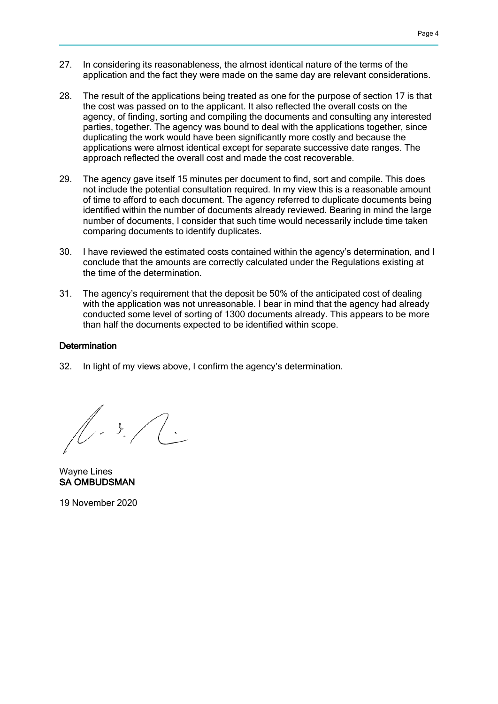- Page 4
- 27. In considering its reasonableness, the almost identical nature of the terms of the application and the fact they were made on the same day are relevant considerations.
- 28. The result of the applications being treated as one for the purpose of section 17 is that the cost was passed on to the applicant. It also reflected the overall costs on the agency, of finding, sorting and compiling the documents and consulting any interested parties, together. The agency was bound to deal with the applications together, since duplicating the work would have been significantly more costly and because the applications were almost identical except for separate successive date ranges. The approach reflected the overall cost and made the cost recoverable.
- 29. The agency gave itself 15 minutes per document to find, sort and compile. This does not include the potential consultation required. In my view this is a reasonable amount of time to afford to each document. The agency referred to duplicate documents being identified within the number of documents already reviewed. Bearing in mind the large number of documents, I consider that such time would necessarily include time taken comparing documents to identify duplicates.
- 30. I have reviewed the estimated costs contained within the agency's determination, and I conclude that the amounts are correctly calculated under the Regulations existing at the time of the determination.
- 31. The agency's requirement that the deposit be 50% of the anticipated cost of dealing with the application was not unreasonable. I bear in mind that the agency had already conducted some level of sorting of 1300 documents already. This appears to be more than half the documents expected to be identified within scope.

#### **Determination**

32. In light of my views above, I confirm the agency's determination.

 $\sqrt{1-\frac{3}{2}}$ 

Wayne Lines SA OMBUDSMAN

19 November 2020